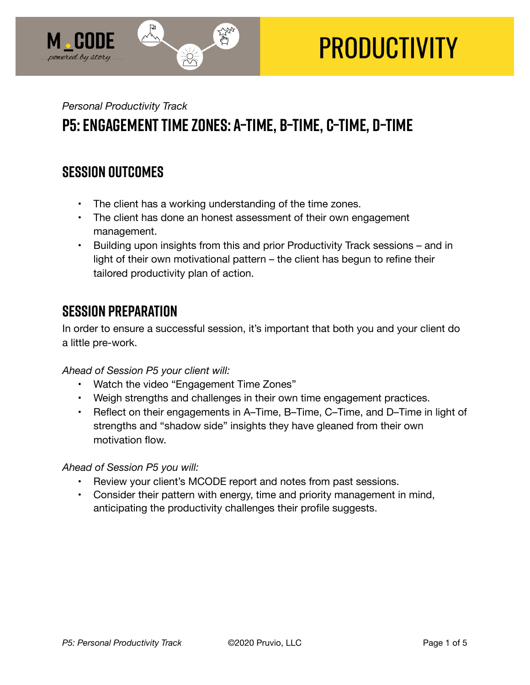

# **PRODUCTIVITY**

# *Personal Productivity Track*  **P5: Engagement Time Zones: A–Time, B–Time, C–Time, D–Time**

## **SESSION OUTCOMES**

- The client has a working understanding of the time zones.
- The client has done an honest assessment of their own engagement management.
- Building upon insights from this and prior Productivity Track sessions and in light of their own motivational pattern – the client has begun to refine their tailored productivity plan of action.

## **SESSION PREPARATION**

In order to ensure a successful session, it's important that both you and your client do a little pre-work.

*Ahead of Session P5 your client will:* 

- Watch the video "Engagement Time Zones"
- Weigh strengths and challenges in their own time engagement practices.
- Reflect on their engagements in A–Time, B–Time, C–Time, and D–Time in light of strengths and "shadow side" insights they have gleaned from their own motivation flow.

*Ahead of Session P5 you will:* 

- Review your client's MCODE report and notes from past sessions.
- Consider their pattern with energy, time and priority management in mind, anticipating the productivity challenges their profile suggests.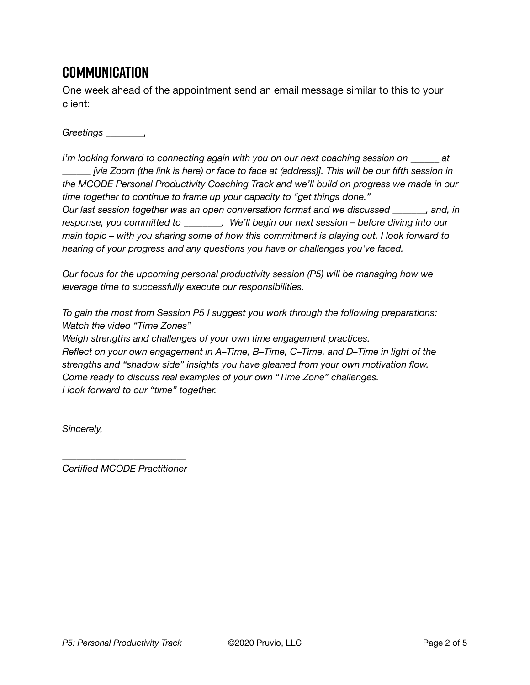## **Communication**

One week ahead of the appointment send an email message similar to this to your client:

*Greetings \_\_\_\_\_\_\_\_,* 

*I'm looking forward to connecting again with you on our next coaching session on \_\_\_\_\_\_ at \_\_\_\_\_\_ [via Zoom (the link is here) or face to face at (address)]. This will be our fifth session in the MCODE Personal Productivity Coaching Track and we'll build on progress we made in our time together to continue to frame up your capacity to "get things done." Our last session together was an open conversation format and we discussed \_\_\_\_\_\_\_, and, in response, you committed to \_\_\_\_\_\_\_\_. We'll begin our next session – before diving into our main topic – with you sharing some of how this commitment is playing out. I look forward to hearing of your progress and any questions you have or challenges you've faced.* 

*Our focus for the upcoming personal productivity session (P5) will be managing how we leverage time to successfully execute our responsibilities.* 

*To gain the most from Session P5 I suggest you work through the following preparations: Watch the video "Time Zones"* 

*Weigh strengths and challenges of your own time engagement practices. Reflect on your own engagement in A–Time, B–Time, C–Time, and D–Time in light of the strengths and "shadow side" insights you have gleaned from your own motivation flow. Come ready to discuss real examples of your own "Time Zone" challenges. I look forward to our "time" together.* 

*Sincerely,* 

*\_\_\_\_\_\_\_\_\_\_\_\_\_\_\_\_\_\_\_\_\_\_\_\_\_\_ Certified MCODE Practitioner*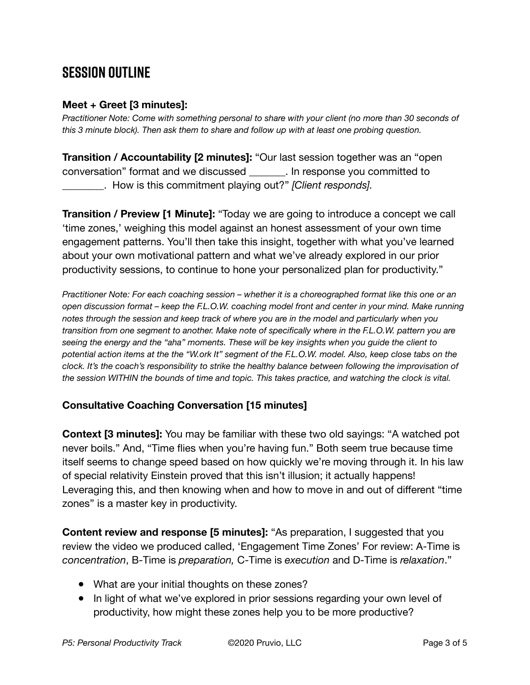# **SESSION OUTLINE**

#### **Meet + Greet [3 minutes]:**

*Practitioner Note: Come with something personal to share with your client (no more than 30 seconds of this 3 minute block). Then ask them to share and follow up with at least one probing question.* 

**Transition / Accountability [2 minutes]:** "Our last session together was an "open conversation" format and we discussed \_\_\_\_\_\_\_. In response you committed to \_\_\_\_\_\_\_\_. How is this commitment playing out?" *[Client responds].* 

**Transition / Preview [1 Minute]:** "Today we are going to introduce a concept we call 'time zones,' weighing this model against an honest assessment of your own time engagement patterns. You'll then take this insight, together with what you've learned about your own motivational pattern and what we've already explored in our prior productivity sessions, to continue to hone your personalized plan for productivity."

*Practitioner Note: For each coaching session – whether it is a choreographed format like this one or an open discussion format – keep the F.L.O.W. coaching model front and center in your mind. Make running notes through the session and keep track of where you are in the model and particularly when you transition from one segment to another. Make note of specifically where in the F.L.O.W. pattern you are seeing the energy and the "aha" moments. These will be key insights when you guide the client to potential action items at the the "W.ork It" segment of the F.L.O.W. model. Also, keep close tabs on the clock. It's the coach's responsibility to strike the healthy balance between following the improvisation of the session WITHIN the bounds of time and topic. This takes practice, and watching the clock is vital.*

#### **Consultative Coaching Conversation [15 minutes]**

**Context [3 minutes]:** You may be familiar with these two old sayings: "A watched pot never boils." And, "Time flies when you're having fun." Both seem true because time itself seems to change speed based on how quickly we're moving through it. In his law of special relativity Einstein proved that this isn't illusion; it actually happens! Leveraging this, and then knowing when and how to move in and out of different "time zones" is a master key in productivity.

**Content review and response [5 minutes]:** "As preparation, I suggested that you review the video we produced called, 'Engagement Time Zones' For review: A-Time is *concentration*, B-Time is *preparation,* C-Time is *execution* and D-Time is *relaxation*."

- What are your initial thoughts on these zones?
- In light of what we've explored in prior sessions regarding your own level of productivity, how might these zones help you to be more productive?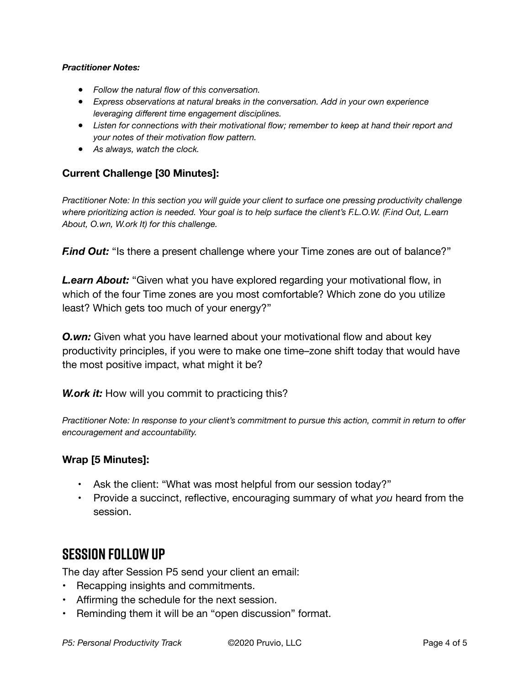#### *Practitioner Notes:*

- *Follow the natural flow of this conversation.*
- *Express observations at natural breaks in the conversation. Add in your own experience leveraging different time engagement disciplines.*
- *Listen for connections with their motivational flow; remember to keep at hand their report and your notes of their motivation flow pattern.*
- *As always, watch the clock.*

#### **Current Challenge [30 Minutes]:**

*Practitioner Note: In this section you will guide your client to surface one pressing productivity challenge where prioritizing action is needed. Your goal is to help surface the client's F.L.O.W. (F.ind Out, L.earn About, O.wn, W.ork It) for this challenge.* 

*F.ind Out:* "Is there a present challenge where your Time zones are out of balance?"

*L.earn About:* "Given what you have explored regarding your motivational flow, in which of the four Time zones are you most comfortable? Which zone do you utilize least? Which gets too much of your energy?"

**O.wn:** Given what you have learned about your motivational flow and about key productivity principles, if you were to make one time–zone shift today that would have the most positive impact, what might it be?

*W.ork it:* How will you commit to practicing this?

*Practitioner Note: In response to your client's commitment to pursue this action, commit in return to offer encouragement and accountability.* 

#### **Wrap [5 Minutes]:**

- Ask the client: "What was most helpful from our session today?"
- Provide a succinct, reflective, encouraging summary of what *you* heard from the session.

### **SESSION FOLLOW UP**

The day after Session P5 send your client an email:

- Recapping insights and commitments.
- Affirming the schedule for the next session.
- Reminding them it will be an "open discussion" format.